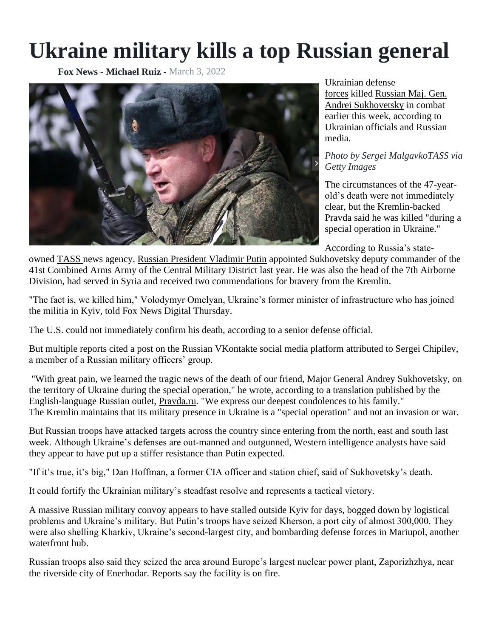## **Ukraine military kills a top Russian general**

**Fox News - Michael Ruiz -** March 3, 2022



[Ukrainian defense](https://www.foxnews.com/category/world/conflicts/ukraine)  [forces](https://www.foxnews.com/category/world/conflicts/ukraine) killed [Russian Maj. Gen.](https://www.foxnews.com/category/world/world-regions/russia)  [Andrei Sukhovetsky](https://www.foxnews.com/category/world/world-regions/russia) in combat earlier this week, according to Ukrainian officials and Russian media.

*Photo by Sergei MalgavkoTASS via Getty Images*

The circumstances of the 47-yearold's death were not immediately clear, but the Kremlin-backed Pravda said he was killed "during a special operation in Ukraine."

According to Russia's state-

owned [TASS](https://tass.com/defense/1362737) news agency, [Russian President Vladimir Putin](https://www.foxnews.com/category/world/personalities/vladimir-putin) appointed Sukhovetsky deputy commander of the 41st Combined Arms Army of the Central Military District last year. He was also the head of the 7th Airborne Division, had served in Syria and received two commendations for bravery from the Kremlin.

"The fact is, we killed him," Volodymyr Omelyan, Ukraine's former minister of infrastructure who has joined the militia in Kyiv, told Fox News Digital Thursday.

The U.S. could not immediately confirm his death, according to a senior defense official.

But multiple reports cited a post on the Russian VKontakte social media platform attributed to Sergei Chipilev, a member of a Russian military officers' group.

"With great pain, we learned the tragic news of the death of our friend, Major General Andrey Sukhovetsky, on the territory of Ukraine during the special operation," he wrote, according to a translation published by the English-language Russian outlet, [Pravda.ru.](https://english.pravda.ru/news/world/150554-russian_general/) "We express our deepest condolences to his family." The Kremlin maintains that its military presence in Ukraine is a "special operation" and not an invasion or war.

But Russian troops have attacked targets across the country since entering from the north, east and south last week. Although Ukraine's defenses are out-manned and outgunned, Western intelligence analysts have said they appear to have put up a stiffer resistance than Putin expected.

"If it's true, it's big," Dan Hoffman, a former CIA officer and station chief, said of Sukhovetsky's death.

It could fortify the Ukrainian military's steadfast resolve and represents a tactical victory.

A massive Russian military convoy appears to have stalled outside Kyiv for days, bogged down by logistical problems and Ukraine's military. But Putin's troops have seized Kherson, a port city of almost 300,000. They were also shelling Kharkiv, Ukraine's second-largest city, and bombarding defense forces in Mariupol, another waterfront hub.

Russian troops also said they seized the area around Europe's largest nuclear power plant, Zaporizhzhya, near the riverside city of Enerhodar. Reports say the facility is on fire.